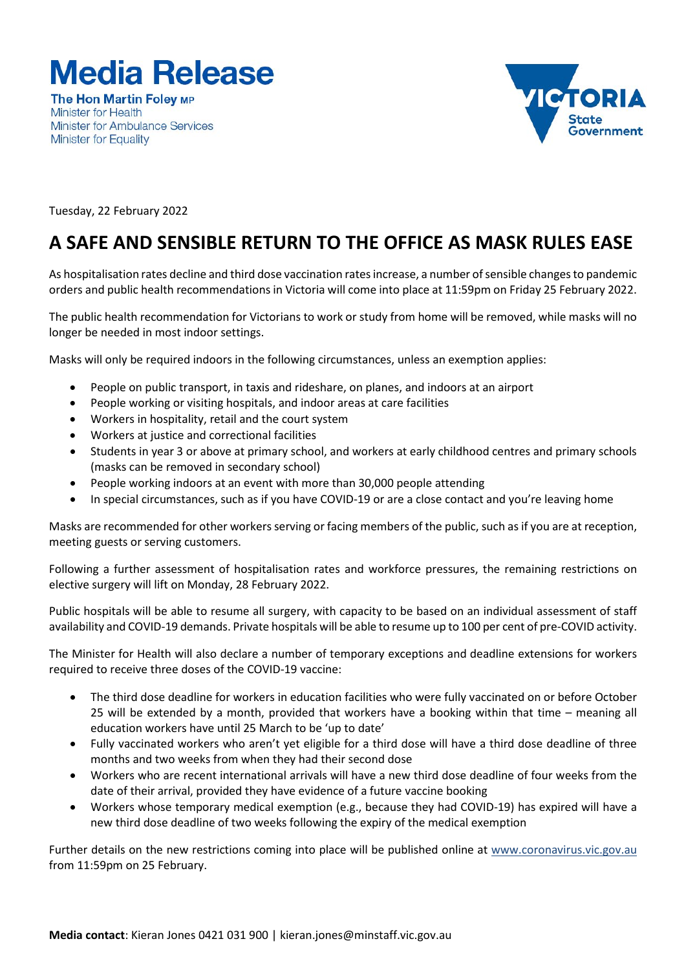

**The Hon Martin Folev MP Minister for Health Minister for Ambulance Services Minister for Equality** 



Tuesday, 22 February 2022

## **A SAFE AND SENSIBLE RETURN TO THE OFFICE AS MASK RULES EASE**

As hospitalisation rates decline and third dose vaccination rates increase, a number of sensible changes to pandemic orders and public health recommendations in Victoria will come into place at 11:59pm on Friday 25 February 2022.

The public health recommendation for Victorians to work or study from home will be removed, while masks will no longer be needed in most indoor settings.

Masks will only be required indoors in the following circumstances, unless an exemption applies:

- People on public transport, in taxis and rideshare, on planes, and indoors at an airport
- People working or visiting hospitals, and indoor areas at care facilities
- Workers in hospitality, retail and the court system
- Workers at justice and correctional facilities
- Students in year 3 or above at primary school, and workers at early childhood centres and primary schools (masks can be removed in secondary school)
- People working indoors at an event with more than 30,000 people attending
- In special circumstances, such as if you have COVID-19 or are a close contact and you're leaving home

Masks are recommended for other workers serving or facing members of the public, such as if you are at reception, meeting guests or serving customers.

Following a further assessment of hospitalisation rates and workforce pressures, the remaining restrictions on elective surgery will lift on Monday, 28 February 2022.

Public hospitals will be able to resume all surgery, with capacity to be based on an individual assessment of staff availability and COVID-19 demands. Private hospitals will be able to resume up to 100 per cent of pre-COVID activity.

The Minister for Health will also declare a number of temporary exceptions and deadline extensions for workers required to receive three doses of the COVID-19 vaccine:

- The third dose deadline for workers in education facilities who were fully vaccinated on or before October 25 will be extended by a month, provided that workers have a booking within that time – meaning all education workers have until 25 March to be 'up to date'
- Fully vaccinated workers who aren't yet eligible for a third dose will have a third dose deadline of three months and two weeks from when they had their second dose
- Workers who are recent international arrivals will have a new third dose deadline of four weeks from the date of their arrival, provided they have evidence of a future vaccine booking
- Workers whose temporary medical exemption (e.g., because they had COVID-19) has expired will have a new third dose deadline of two weeks following the expiry of the medical exemption

Further details on the new restrictions coming into place will be published online at www.coronavirus.vic.gov.au from 11:59pm on 25 February.